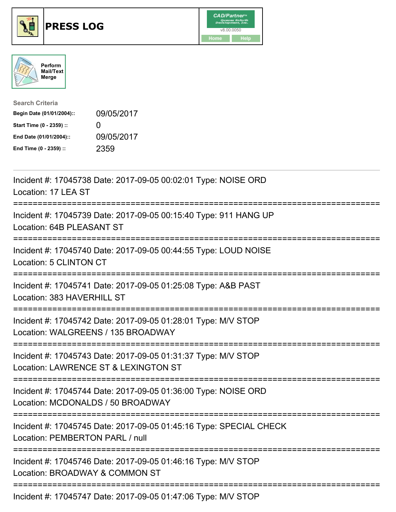





| <b>Search Criteria</b>    |                   |
|---------------------------|-------------------|
| Begin Date (01/01/2004):: | 09/05/2017        |
| Start Time (0 - 2359) ::  | $\mathbf{\Omega}$ |
| End Date (01/01/2004)::   | 09/05/2017        |
| End Time (0 - 2359) ::    | 2359              |

| Incident #: 17045738 Date: 2017-09-05 00:02:01 Type: NOISE ORD<br>Location: 17 LEA ST                                                 |
|---------------------------------------------------------------------------------------------------------------------------------------|
| Incident #: 17045739 Date: 2017-09-05 00:15:40 Type: 911 HANG UP<br>Location: 64B PLEASANT ST<br>-----------                          |
| Incident #: 17045740 Date: 2017-09-05 00:44:55 Type: LOUD NOISE<br>Location: 5 CLINTON CT<br>-----------------                        |
| Incident #: 17045741 Date: 2017-09-05 01:25:08 Type: A&B PAST<br>Location: 383 HAVERHILL ST<br>----------------                       |
| Incident #: 17045742 Date: 2017-09-05 01:28:01 Type: M/V STOP<br>Location: WALGREENS / 135 BROADWAY                                   |
| Incident #: 17045743 Date: 2017-09-05 01:31:37 Type: M/V STOP<br>Location: LAWRENCE ST & LEXINGTON ST                                 |
| Incident #: 17045744 Date: 2017-09-05 01:36:00 Type: NOISE ORD<br>Location: MCDONALDS / 50 BROADWAY<br>--------------------------     |
| Incident #: 17045745 Date: 2017-09-05 01:45:16 Type: SPECIAL CHECK<br>Location: PEMBERTON PARL / null<br>;=========================== |
| Incident #: 17045746 Date: 2017-09-05 01:46:16 Type: M/V STOP<br>Location: BROADWAY & COMMON ST                                       |
| Incident #: 17045747 Date: 2017-09-05 01:47:06 Type: M/V STOP                                                                         |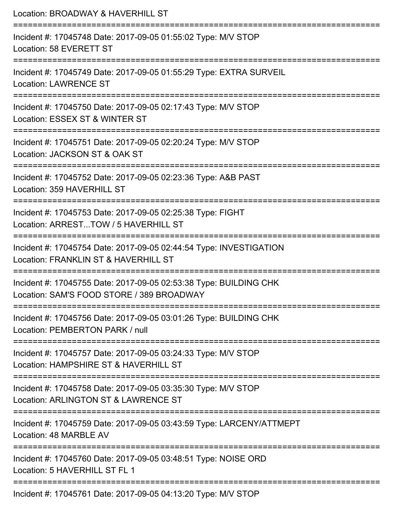| Location: BROADWAY & HAVERHILL ST<br>====================<br>=============================                                 |
|----------------------------------------------------------------------------------------------------------------------------|
| Incident #: 17045748 Date: 2017-09-05 01:55:02 Type: M/V STOP<br>Location: 58 EVERETT ST                                   |
| Incident #: 17045749 Date: 2017-09-05 01:55:29 Type: EXTRA SURVEIL<br><b>Location: LAWRENCE ST</b>                         |
| Incident #: 17045750 Date: 2017-09-05 02:17:43 Type: M/V STOP<br>Location: ESSEX ST & WINTER ST                            |
| ========================<br>Incident #: 17045751 Date: 2017-09-05 02:20:24 Type: M/V STOP<br>Location: JACKSON ST & OAK ST |
| Incident #: 17045752 Date: 2017-09-05 02:23:36 Type: A&B PAST<br>Location: 359 HAVERHILL ST                                |
| :================<br>Incident #: 17045753 Date: 2017-09-05 02:25:38 Type: FIGHT<br>Location: ARRESTTOW / 5 HAVERHILL ST    |
| Incident #: 17045754 Date: 2017-09-05 02:44:54 Type: INVESTIGATION<br>Location: FRANKLIN ST & HAVERHILL ST                 |
| Incident #: 17045755 Date: 2017-09-05 02:53:38 Type: BUILDING CHK<br>Location: SAM'S FOOD STORE / 389 BROADWAY             |
| Incident #: 17045756 Date: 2017-09-05 03:01:26 Type: BUILDING CHK<br>Location: PEMBERTON PARK / null                       |
| Incident #: 17045757 Date: 2017-09-05 03:24:33 Type: M/V STOP<br>Location: HAMPSHIRE ST & HAVERHILL ST                     |
| Incident #: 17045758 Date: 2017-09-05 03:35:30 Type: M/V STOP<br>Location: ARLINGTON ST & LAWRENCE ST                      |
| Incident #: 17045759 Date: 2017-09-05 03:43:59 Type: LARCENY/ATTMEPT<br>Location: 48 MARBLE AV                             |
| Incident #: 17045760 Date: 2017-09-05 03:48:51 Type: NOISE ORD<br>Location: 5 HAVERHILL ST FL 1                            |
| Incident #: 17045761 Date: 2017-09-05 04:13:20 Type: M/V STOP                                                              |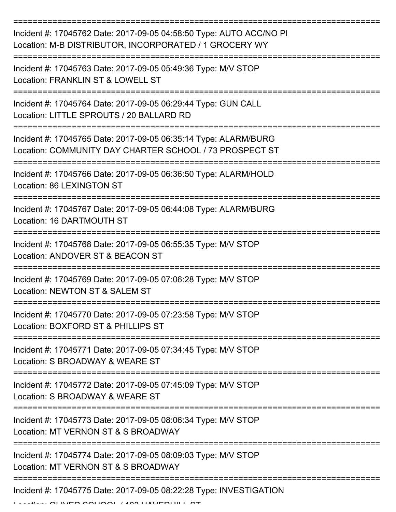| Incident #: 17045762 Date: 2017-09-05 04:58:50 Type: AUTO ACC/NO PI<br>Location: M-B DISTRIBUTOR, INCORPORATED / 1 GROCERY WY |
|-------------------------------------------------------------------------------------------------------------------------------|
| Incident #: 17045763 Date: 2017-09-05 05:49:36 Type: M/V STOP<br>Location: FRANKLIN ST & LOWELL ST                            |
| Incident #: 17045764 Date: 2017-09-05 06:29:44 Type: GUN CALL<br>Location: LITTLE SPROUTS / 20 BALLARD RD                     |
| Incident #: 17045765 Date: 2017-09-05 06:35:14 Type: ALARM/BURG<br>Location: COMMUNITY DAY CHARTER SCHOOL / 73 PROSPECT ST    |
| Incident #: 17045766 Date: 2017-09-05 06:36:50 Type: ALARM/HOLD<br>Location: 86 LEXINGTON ST                                  |
| Incident #: 17045767 Date: 2017-09-05 06:44:08 Type: ALARM/BURG<br>Location: 16 DARTMOUTH ST                                  |
| Incident #: 17045768 Date: 2017-09-05 06:55:35 Type: M/V STOP<br>Location: ANDOVER ST & BEACON ST                             |
| Incident #: 17045769 Date: 2017-09-05 07:06:28 Type: M/V STOP<br>Location: NEWTON ST & SALEM ST                               |
| Incident #: 17045770 Date: 2017-09-05 07:23:58 Type: M/V STOP<br>Location: BOXFORD ST & PHILLIPS ST                           |
| Incident #: 17045771 Date: 2017-09-05 07:34:45 Type: M/V STOP<br>Location: S BROADWAY & WEARE ST                              |
| Incident #: 17045772 Date: 2017-09-05 07:45:09 Type: M/V STOP<br>Location: S BROADWAY & WEARE ST                              |
| Incident #: 17045773 Date: 2017-09-05 08:06:34 Type: M/V STOP<br>Location: MT VERNON ST & S BROADWAY                          |
| Incident #: 17045774 Date: 2017-09-05 08:09:03 Type: M/V STOP<br>Location: MT VERNON ST & S BROADWAY                          |
| Incident #: 17045775 Date: 2017-09-05 08:22:28 Type: INVESTIGATION                                                            |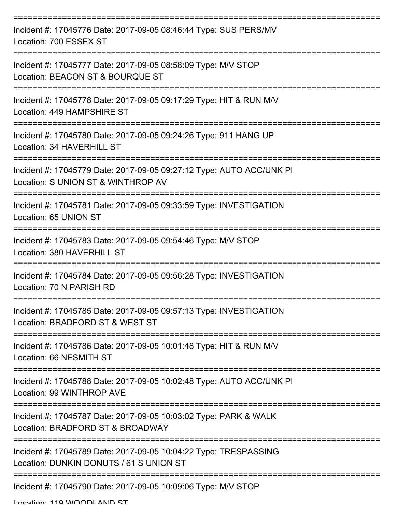| Incident #: 17045776 Date: 2017-09-05 08:46:44 Type: SUS PERS/MV<br>Location: 700 ESSEX ST                         |
|--------------------------------------------------------------------------------------------------------------------|
| Incident #: 17045777 Date: 2017-09-05 08:58:09 Type: M/V STOP<br>Location: BEACON ST & BOURQUE ST                  |
| Incident #: 17045778 Date: 2017-09-05 09:17:29 Type: HIT & RUN M/V<br>Location: 449 HAMPSHIRE ST                   |
| Incident #: 17045780 Date: 2017-09-05 09:24:26 Type: 911 HANG UP<br>Location: 34 HAVERHILL ST                      |
| Incident #: 17045779 Date: 2017-09-05 09:27:12 Type: AUTO ACC/UNK PI<br>Location: S UNION ST & WINTHROP AV         |
| :==================<br>Incident #: 17045781 Date: 2017-09-05 09:33:59 Type: INVESTIGATION<br>Location: 65 UNION ST |
| Incident #: 17045783 Date: 2017-09-05 09:54:46 Type: M/V STOP<br>Location: 380 HAVERHILL ST                        |
| Incident #: 17045784 Date: 2017-09-05 09:56:28 Type: INVESTIGATION<br>Location: 70 N PARISH RD                     |
| Incident #: 17045785 Date: 2017-09-05 09:57:13 Type: INVESTIGATION<br>Location: BRADFORD ST & WEST ST              |
| Incident #: 17045786 Date: 2017-09-05 10:01:48 Type: HIT & RUN M/V<br>Location: 66 NESMITH ST                      |
| Incident #: 17045788 Date: 2017-09-05 10:02:48 Type: AUTO ACC/UNK PI<br>Location: 99 WINTHROP AVE                  |
| Incident #: 17045787 Date: 2017-09-05 10:03:02 Type: PARK & WALK<br>Location: BRADFORD ST & BROADWAY               |
| Incident #: 17045789 Date: 2017-09-05 10:04:22 Type: TRESPASSING<br>Location: DUNKIN DONUTS / 61 S UNION ST        |
| Incident #: 17045790 Date: 2017-09-05 10:09:06 Type: M/V STOP                                                      |

Location: 110 WOODLAND ST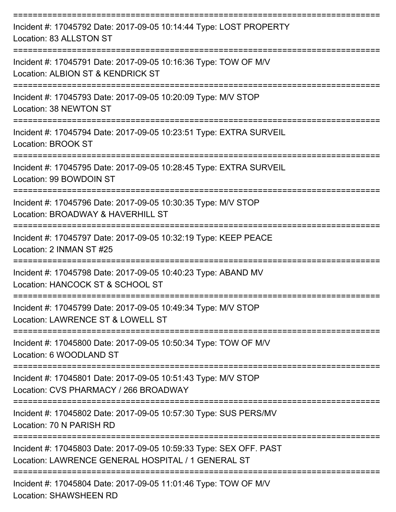| Incident #: 17045792 Date: 2017-09-05 10:14:44 Type: LOST PROPERTY<br>Location: 83 ALLSTON ST                            |
|--------------------------------------------------------------------------------------------------------------------------|
| Incident #: 17045791 Date: 2017-09-05 10:16:36 Type: TOW OF M/V<br>Location: ALBION ST & KENDRICK ST                     |
| Incident #: 17045793 Date: 2017-09-05 10:20:09 Type: M/V STOP<br>Location: 38 NEWTON ST                                  |
| Incident #: 17045794 Date: 2017-09-05 10:23:51 Type: EXTRA SURVEIL<br>Location: BROOK ST                                 |
| Incident #: 17045795 Date: 2017-09-05 10:28:45 Type: EXTRA SURVEIL<br>Location: 99 BOWDOIN ST                            |
| Incident #: 17045796 Date: 2017-09-05 10:30:35 Type: M/V STOP<br>Location: BROADWAY & HAVERHILL ST                       |
| Incident #: 17045797 Date: 2017-09-05 10:32:19 Type: KEEP PEACE<br>Location: 2 INMAN ST #25                              |
| Incident #: 17045798 Date: 2017-09-05 10:40:23 Type: ABAND MV<br>Location: HANCOCK ST & SCHOOL ST                        |
| Incident #: 17045799 Date: 2017-09-05 10:49:34 Type: M/V STOP<br>Location: LAWRENCE ST & LOWELL ST                       |
| Incident #: 17045800 Date: 2017-09-05 10:50:34 Type: TOW OF M/V<br>Location: 6 WOODLAND ST                               |
| Incident #: 17045801 Date: 2017-09-05 10:51:43 Type: M/V STOP<br>Location: CVS PHARMACY / 266 BROADWAY                   |
| Incident #: 17045802 Date: 2017-09-05 10:57:30 Type: SUS PERS/MV<br>Location: 70 N PARISH RD                             |
| Incident #: 17045803 Date: 2017-09-05 10:59:33 Type: SEX OFF. PAST<br>Location: LAWRENCE GENERAL HOSPITAL / 1 GENERAL ST |
| Incident #: 17045804 Date: 2017-09-05 11:01:46 Type: TOW OF M/V<br><b>Location: SHAWSHEEN RD</b>                         |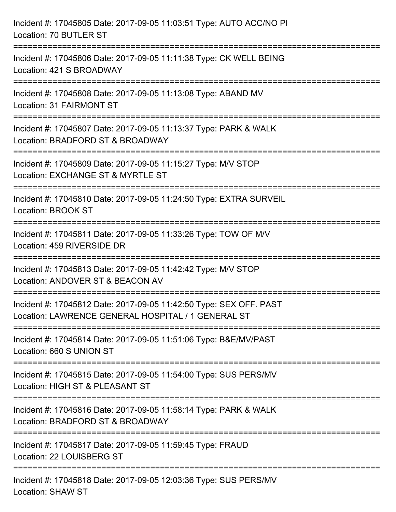| Incident #: 17045805 Date: 2017-09-05 11:03:51 Type: AUTO ACC/NO PI<br>Location: 70 BUTLER ST                                      |
|------------------------------------------------------------------------------------------------------------------------------------|
| Incident #: 17045806 Date: 2017-09-05 11:11:38 Type: CK WELL BEING<br>Location: 421 S BROADWAY                                     |
| Incident #: 17045808 Date: 2017-09-05 11:13:08 Type: ABAND MV<br><b>Location: 31 FAIRMONT ST</b>                                   |
| Incident #: 17045807 Date: 2017-09-05 11:13:37 Type: PARK & WALK<br>Location: BRADFORD ST & BROADWAY                               |
| Incident #: 17045809 Date: 2017-09-05 11:15:27 Type: M/V STOP<br>Location: EXCHANGE ST & MYRTLE ST                                 |
| ====================<br>Incident #: 17045810 Date: 2017-09-05 11:24:50 Type: EXTRA SURVEIL<br>Location: BROOK ST                   |
| Incident #: 17045811 Date: 2017-09-05 11:33:26 Type: TOW OF M/V<br>Location: 459 RIVERSIDE DR                                      |
| Incident #: 17045813 Date: 2017-09-05 11:42:42 Type: M/V STOP<br>Location: ANDOVER ST & BEACON AV                                  |
| Incident #: 17045812 Date: 2017-09-05 11:42:50 Type: SEX OFF. PAST<br>Location: LAWRENCE GENERAL HOSPITAL / 1 GENERAL ST           |
| Incident #: 17045814 Date: 2017-09-05 11:51:06 Type: B&E/MV/PAST<br>Location: 660 S UNION ST                                       |
| Incident #: 17045815 Date: 2017-09-05 11:54:00 Type: SUS PERS/MV<br>Location: HIGH ST & PLEASANT ST                                |
| --------------------------<br>Incident #: 17045816 Date: 2017-09-05 11:58:14 Type: PARK & WALK<br>Location: BRADFORD ST & BROADWAY |
| Incident #: 17045817 Date: 2017-09-05 11:59:45 Type: FRAUD<br>Location: 22 LOUISBERG ST                                            |
| Incident #: 17045818 Date: 2017-09-05 12:03:36 Type: SUS PERS/MV<br><b>Location: SHAW ST</b>                                       |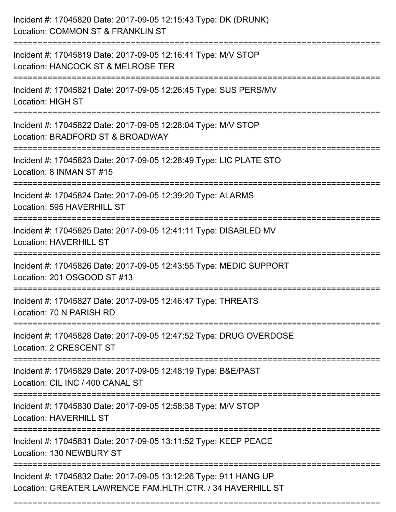| Incident #: 17045820 Date: 2017-09-05 12:15:43 Type: DK (DRUNK)<br>Location: COMMON ST & FRANKLIN ST                           |
|--------------------------------------------------------------------------------------------------------------------------------|
| Incident #: 17045819 Date: 2017-09-05 12:16:41 Type: M/V STOP<br>Location: HANCOCK ST & MELROSE TER                            |
| Incident #: 17045821 Date: 2017-09-05 12:26:45 Type: SUS PERS/MV<br><b>Location: HIGH ST</b>                                   |
| Incident #: 17045822 Date: 2017-09-05 12:28:04 Type: M/V STOP<br>Location: BRADFORD ST & BROADWAY                              |
| Incident #: 17045823 Date: 2017-09-05 12:28:49 Type: LIC PLATE STO<br>Location: 8 INMAN ST #15                                 |
| Incident #: 17045824 Date: 2017-09-05 12:39:20 Type: ALARMS<br>Location: 595 HAVERHILL ST                                      |
| Incident #: 17045825 Date: 2017-09-05 12:41:11 Type: DISABLED MV<br><b>Location: HAVERHILL ST</b>                              |
| Incident #: 17045826 Date: 2017-09-05 12:43:55 Type: MEDIC SUPPORT<br>Location: 201 OSGOOD ST #13                              |
| Incident #: 17045827 Date: 2017-09-05 12:46:47 Type: THREATS<br>Location: 70 N PARISH RD                                       |
| Incident #: 17045828 Date: 2017-09-05 12:47:52 Type: DRUG OVERDOSE<br><b>Location: 2 CRESCENT ST</b>                           |
| Incident #: 17045829 Date: 2017-09-05 12:48:19 Type: B&E/PAST<br>Location: CIL INC / 400 CANAL ST                              |
| Incident #: 17045830 Date: 2017-09-05 12:58:38 Type: M/V STOP<br><b>Location: HAVERHILL ST</b>                                 |
| Incident #: 17045831 Date: 2017-09-05 13:11:52 Type: KEEP PEACE<br>Location: 130 NEWBURY ST                                    |
| Incident #: 17045832 Date: 2017-09-05 13:12:26 Type: 911 HANG UP<br>Location: GREATER LAWRENCE FAM.HLTH.CTR. / 34 HAVERHILL ST |

===========================================================================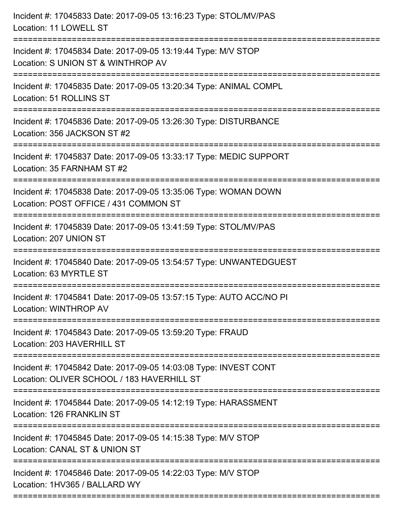| Incident #: 17045833 Date: 2017-09-05 13:16:23 Type: STOL/MV/PAS<br>Location: 11 LOWELL ST                                                                    |
|---------------------------------------------------------------------------------------------------------------------------------------------------------------|
| Incident #: 17045834 Date: 2017-09-05 13:19:44 Type: M/V STOP<br>Location: S UNION ST & WINTHROP AV                                                           |
| Incident #: 17045835 Date: 2017-09-05 13:20:34 Type: ANIMAL COMPL<br>Location: 51 ROLLINS ST                                                                  |
| Incident #: 17045836 Date: 2017-09-05 13:26:30 Type: DISTURBANCE<br>Location: 356 JACKSON ST #2                                                               |
| Incident #: 17045837 Date: 2017-09-05 13:33:17 Type: MEDIC SUPPORT<br>Location: 35 FARNHAM ST #2<br>=================================<br>-------------------- |
| Incident #: 17045838 Date: 2017-09-05 13:35:06 Type: WOMAN DOWN<br>Location: POST OFFICE / 431 COMMON ST                                                      |
| Incident #: 17045839 Date: 2017-09-05 13:41:59 Type: STOL/MV/PAS<br>Location: 207 UNION ST                                                                    |
| Incident #: 17045840 Date: 2017-09-05 13:54:57 Type: UNWANTEDGUEST<br>Location: 63 MYRTLE ST                                                                  |
| Incident #: 17045841 Date: 2017-09-05 13:57:15 Type: AUTO ACC/NO PI<br>Location: WINTHROP AV                                                                  |
| :============================<br>=========================<br>Incident #: 17045843 Date: 2017-09-05 13:59:20 Type: FRAUD<br>Location: 203 HAVERHILL ST        |
| Incident #: 17045842 Date: 2017-09-05 14:03:08 Type: INVEST CONT<br>Location: OLIVER SCHOOL / 183 HAVERHILL ST                                                |
| Incident #: 17045844 Date: 2017-09-05 14:12:19 Type: HARASSMENT<br>Location: 126 FRANKLIN ST                                                                  |
| Incident #: 17045845 Date: 2017-09-05 14:15:38 Type: M/V STOP<br>Location: CANAL ST & UNION ST                                                                |
| Incident #: 17045846 Date: 2017-09-05 14:22:03 Type: M/V STOP<br>Location: 1HV365 / BALLARD WY                                                                |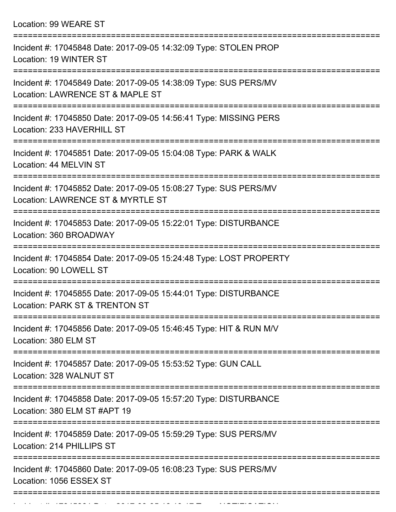Location: 99 WEARE ST

| Incident #: 17045848 Date: 2017-09-05 14:32:09 Type: STOLEN PROP<br>Location: 19 WINTER ST                                             |
|----------------------------------------------------------------------------------------------------------------------------------------|
| Incident #: 17045849 Date: 2017-09-05 14:38:09 Type: SUS PERS/MV<br>Location: LAWRENCE ST & MAPLE ST                                   |
| Incident #: 17045850 Date: 2017-09-05 14:56:41 Type: MISSING PERS<br>Location: 233 HAVERHILL ST                                        |
| Incident #: 17045851 Date: 2017-09-05 15:04:08 Type: PARK & WALK<br>Location: 44 MELVIN ST                                             |
| Incident #: 17045852 Date: 2017-09-05 15:08:27 Type: SUS PERS/MV<br>Location: LAWRENCE ST & MYRTLE ST<br>:=====================        |
| Incident #: 17045853 Date: 2017-09-05 15:22:01 Type: DISTURBANCE<br>Location: 360 BROADWAY                                             |
| Incident #: 17045854 Date: 2017-09-05 15:24:48 Type: LOST PROPERTY<br>Location: 90 LOWELL ST                                           |
| Incident #: 17045855 Date: 2017-09-05 15:44:01 Type: DISTURBANCE<br>Location: PARK ST & TRENTON ST                                     |
| Incident #: 17045856 Date: 2017-09-05 15:46:45 Type: HIT & RUN M/V<br>Location: 380 ELM ST                                             |
| :===================<br>==================<br>Incident #: 17045857 Date: 2017-09-05 15:53:52 Type: GUN CALL<br>Location: 328 WALNUT ST |
| Incident #: 17045858 Date: 2017-09-05 15:57:20 Type: DISTURBANCE<br>Location: 380 ELM ST #APT 19                                       |
| Incident #: 17045859 Date: 2017-09-05 15:59:29 Type: SUS PERS/MV<br>Location: 214 PHILLIPS ST                                          |
| Incident #: 17045860 Date: 2017-09-05 16:08:23 Type: SUS PERS/MV<br>Location: 1056 ESSEX ST                                            |
|                                                                                                                                        |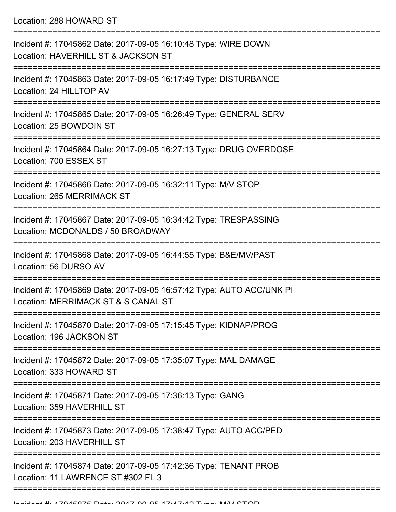Location: 288 HOWARD ST

| Incident #: 17045862 Date: 2017-09-05 16:10:48 Type: WIRE DOWN<br>Location: HAVERHILL ST & JACKSON ST       |
|-------------------------------------------------------------------------------------------------------------|
| Incident #: 17045863 Date: 2017-09-05 16:17:49 Type: DISTURBANCE<br>Location: 24 HILLTOP AV                 |
| Incident #: 17045865 Date: 2017-09-05 16:26:49 Type: GENERAL SERV<br>Location: 25 BOWDOIN ST                |
| Incident #: 17045864 Date: 2017-09-05 16:27:13 Type: DRUG OVERDOSE<br>Location: 700 ESSEX ST                |
| Incident #: 17045866 Date: 2017-09-05 16:32:11 Type: M/V STOP<br>Location: 265 MERRIMACK ST                 |
| Incident #: 17045867 Date: 2017-09-05 16:34:42 Type: TRESPASSING<br>Location: MCDONALDS / 50 BROADWAY       |
| Incident #: 17045868 Date: 2017-09-05 16:44:55 Type: B&E/MV/PAST<br>Location: 56 DURSO AV                   |
| Incident #: 17045869 Date: 2017-09-05 16:57:42 Type: AUTO ACC/UNK PI<br>Location: MERRIMACK ST & S CANAL ST |
| Incident #: 17045870 Date: 2017-09-05 17:15:45 Type: KIDNAP/PROG<br>Location: 196 JACKSON ST                |
| Incident #: 17045872 Date: 2017-09-05 17:35:07 Type: MAL DAMAGE<br>Location: 333 HOWARD ST                  |
| Incident #: 17045871 Date: 2017-09-05 17:36:13 Type: GANG<br>Location: 359 HAVERHILL ST                     |
| Incident #: 17045873 Date: 2017-09-05 17:38:47 Type: AUTO ACC/PED<br>Location: 203 HAVERHILL ST             |
| Incident #: 17045874 Date: 2017-09-05 17:42:36 Type: TENANT PROB<br>Location: 11 LAWRENCE ST #302 FL 3      |
|                                                                                                             |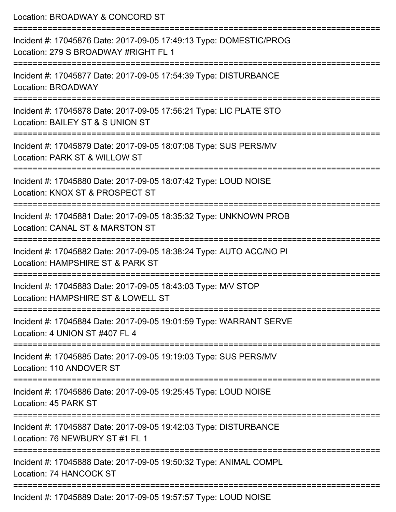| Location: BROADWAY & CONCORD ST                                                                                                                  |
|--------------------------------------------------------------------------------------------------------------------------------------------------|
| Incident #: 17045876 Date: 2017-09-05 17:49:13 Type: DOMESTIC/PROG<br>Location: 279 S BROADWAY #RIGHT FL 1                                       |
| :=======================<br>Incident #: 17045877 Date: 2017-09-05 17:54:39 Type: DISTURBANCE<br>Location: BROADWAY                               |
| Incident #: 17045878 Date: 2017-09-05 17:56:21 Type: LIC PLATE STO<br>Location: BAILEY ST & S UNION ST<br>:===================================== |
| Incident #: 17045879 Date: 2017-09-05 18:07:08 Type: SUS PERS/MV<br>Location: PARK ST & WILLOW ST                                                |
| Incident #: 17045880 Date: 2017-09-05 18:07:42 Type: LOUD NOISE<br>Location: KNOX ST & PROSPECT ST                                               |
| Incident #: 17045881 Date: 2017-09-05 18:35:32 Type: UNKNOWN PROB<br>Location: CANAL ST & MARSTON ST                                             |
| Incident #: 17045882 Date: 2017-09-05 18:38:24 Type: AUTO ACC/NO PI<br>Location: HAMPSHIRE ST & PARK ST                                          |
| Incident #: 17045883 Date: 2017-09-05 18:43:03 Type: M/V STOP<br>Location: HAMPSHIRE ST & LOWELL ST                                              |
| ==================================<br>Incident #: 17045884 Date: 2017-09-05 19:01:59 Type: WARRANT SERVE<br>Location: 4 UNION ST #407 FL 4       |
| Incident #: 17045885 Date: 2017-09-05 19:19:03 Type: SUS PERS/MV<br>Location: 110 ANDOVER ST                                                     |
| Incident #: 17045886 Date: 2017-09-05 19:25:45 Type: LOUD NOISE<br>Location: 45 PARK ST                                                          |
| Incident #: 17045887 Date: 2017-09-05 19:42:03 Type: DISTURBANCE<br>Location: 76 NEWBURY ST #1 FL 1                                              |
| Incident #: 17045888 Date: 2017-09-05 19:50:32 Type: ANIMAL COMPL<br>Location: 74 HANCOCK ST                                                     |
| $15000 \text{ D}$ $\pm 1.0047.00 \text{ A} = 40.57.57$ $\pm 2.01$ $\pm 1.01$ $\pm 1.01$ $\pm 1.01$                                               |

Incident #: 17045889 Date: 2017-09-05 19:57:57 Type: LOUD NOISE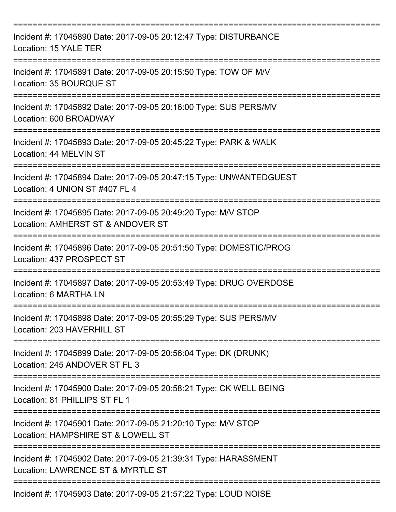| Incident #: 17045890 Date: 2017-09-05 20:12:47 Type: DISTURBANCE<br>Location: 15 YALE TER                                         |
|-----------------------------------------------------------------------------------------------------------------------------------|
| Incident #: 17045891 Date: 2017-09-05 20:15:50 Type: TOW OF M/V<br>Location: 35 BOURQUE ST                                        |
| Incident #: 17045892 Date: 2017-09-05 20:16:00 Type: SUS PERS/MV<br>Location: 600 BROADWAY                                        |
| Incident #: 17045893 Date: 2017-09-05 20:45:22 Type: PARK & WALK<br>Location: 44 MELVIN ST                                        |
| Incident #: 17045894 Date: 2017-09-05 20:47:15 Type: UNWANTEDGUEST<br>Location: 4 UNION ST #407 FL 4                              |
| Incident #: 17045895 Date: 2017-09-05 20:49:20 Type: M/V STOP<br>Location: AMHERST ST & ANDOVER ST                                |
| Incident #: 17045896 Date: 2017-09-05 20:51:50 Type: DOMESTIC/PROG<br>Location: 437 PROSPECT ST                                   |
| Incident #: 17045897 Date: 2017-09-05 20:53:49 Type: DRUG OVERDOSE<br>Location: 6 MARTHA LN                                       |
| ===========<br>Incident #: 17045898 Date: 2017-09-05 20:55:29 Type: SUS PERS/MV<br>Location: 203 HAVERHILL ST                     |
| Incident #: 17045899 Date: 2017-09-05 20:56:04 Type: DK (DRUNK)<br>Location: 245 ANDOVER ST FL 3                                  |
| Incident #: 17045900 Date: 2017-09-05 20:58:21 Type: CK WELL BEING<br>Location: 81 PHILLIPS ST FL 1                               |
| Incident #: 17045901 Date: 2017-09-05 21:20:10 Type: M/V STOP<br>Location: HAMPSHIRE ST & LOWELL ST                               |
| Incident #: 17045902 Date: 2017-09-05 21:39:31 Type: HARASSMENT<br>Location: LAWRENCE ST & MYRTLE ST<br>========================= |
| Incident #: 17045903 Date: 2017-09-05 21:57:22 Type: LOUD NOISE                                                                   |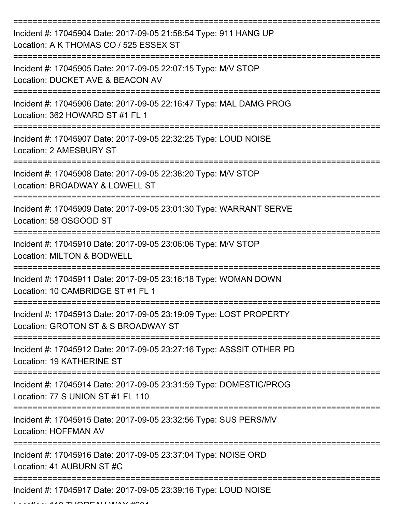| Incident #: 17045904 Date: 2017-09-05 21:58:54 Type: 911 HANG UP<br>Location: A K THOMAS CO / 525 ESSEX ST |
|------------------------------------------------------------------------------------------------------------|
| Incident #: 17045905 Date: 2017-09-05 22:07:15 Type: M/V STOP<br>Location: DUCKET AVE & BEACON AV          |
| Incident #: 17045906 Date: 2017-09-05 22:16:47 Type: MAL DAMG PROG<br>Location: 362 HOWARD ST #1 FL 1      |
| Incident #: 17045907 Date: 2017-09-05 22:32:25 Type: LOUD NOISE<br>Location: 2 AMESBURY ST                 |
| Incident #: 17045908 Date: 2017-09-05 22:38:20 Type: M/V STOP<br>Location: BROADWAY & LOWELL ST            |
| Incident #: 17045909 Date: 2017-09-05 23:01:30 Type: WARRANT SERVE<br>Location: 58 OSGOOD ST               |
| Incident #: 17045910 Date: 2017-09-05 23:06:06 Type: M/V STOP<br>Location: MILTON & BODWELL                |
| Incident #: 17045911 Date: 2017-09-05 23:16:18 Type: WOMAN DOWN<br>Location: 10 CAMBRIDGE ST #1 FL 1       |
| Incident #: 17045913 Date: 2017-09-05 23:19:09 Type: LOST PROPERTY<br>Location: GROTON ST & S BROADWAY ST  |
| Incident #: 17045912 Date: 2017-09-05 23:27:16 Type: ASSSIT OTHER PD<br>Location: 19 KATHERINE ST          |
| Incident #: 17045914 Date: 2017-09-05 23:31:59 Type: DOMESTIC/PROG<br>Location: 77 S UNION ST #1 FL 110    |
| Incident #: 17045915 Date: 2017-09-05 23:32:56 Type: SUS PERS/MV<br><b>Location: HOFFMAN AV</b>            |
| Incident #: 17045916 Date: 2017-09-05 23:37:04 Type: NOISE ORD<br>Location: 41 AUBURN ST #C                |
| Incident #: 17045917 Date: 2017-09-05 23:39:16 Type: LOUD NOISE                                            |